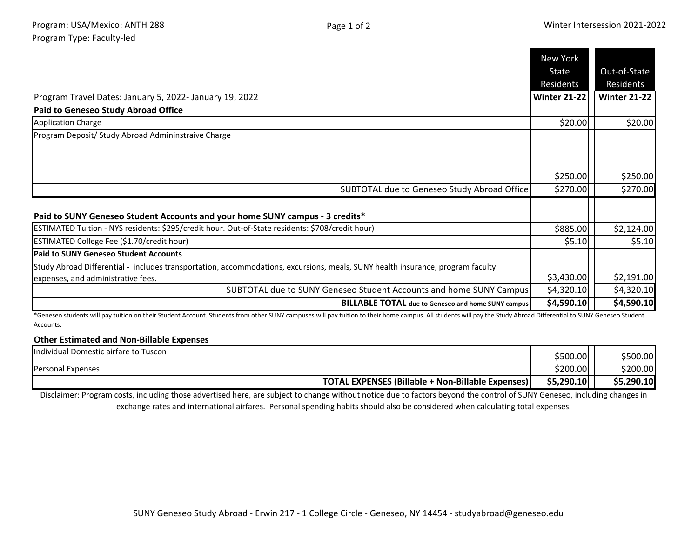|                                                                                                                                | <b>New York</b>     |                     |
|--------------------------------------------------------------------------------------------------------------------------------|---------------------|---------------------|
|                                                                                                                                | State               | Out-of-State        |
|                                                                                                                                | Residents           | Residents           |
| Program Travel Dates: January 5, 2022- January 19, 2022                                                                        | <b>Winter 21-22</b> | <b>Winter 21-22</b> |
| <b>Paid to Geneseo Study Abroad Office</b>                                                                                     |                     |                     |
| <b>Application Charge</b>                                                                                                      | \$20.00             | \$20.00             |
| Program Deposit/ Study Abroad Admininstraive Charge                                                                            |                     |                     |
|                                                                                                                                |                     |                     |
|                                                                                                                                | \$250.00            | \$250.00            |
| SUBTOTAL due to Geneseo Study Abroad Office                                                                                    | \$270.00            | \$270.00            |
|                                                                                                                                |                     |                     |
| Paid to SUNY Geneseo Student Accounts and your home SUNY campus - 3 credits*                                                   |                     |                     |
| ESTIMATED Tuition - NYS residents: \$295/credit hour. Out-of-State residents: \$708/credit hour)                               | \$885.00            | \$2,124.00          |
| ESTIMATED College Fee (\$1.70/credit hour)                                                                                     | \$5.10              | \$5.10              |
| <b>Paid to SUNY Geneseo Student Accounts</b>                                                                                   |                     |                     |
| Study Abroad Differential - includes transportation, accommodations, excursions, meals, SUNY health insurance, program faculty |                     |                     |
| expenses, and administrative fees.                                                                                             | \$3,430.00          | \$2,191.00          |
| SUBTOTAL due to SUNY Geneseo Student Accounts and home SUNY Campus                                                             | \$4,320.10          | \$4,320.10          |
| <b>BILLABLE TOTAL</b> due to Geneseo and home SUNY campus                                                                      | \$4,590.10          | \$4,590.10          |

\*Geneseo students will pay tuition on their Student Account. Students from other SUNY campuses will pay tuition to their home campus. All students will pay the Study Abroad Differential to SUNY Geneseo Student Accounts.

## **Other Estimated and Non-Billable Expenses**

| IIndividual Domestic airfare to Tuscon            | \$500.00l  | \$500.00   |
|---------------------------------------------------|------------|------------|
| Personal Expenses                                 | \$200.00   | \$200.00   |
| TOTAL EXPENSES (Billable + Non-Billable Expenses) | \$5,290.10 | \$5,290.10 |

Disclaimer: Program costs, including those advertised here, are subject to change without notice due to factors beyond the control of SUNY Geneseo, including changes in exchange rates and international airfares. Personal spending habits should also be considered when calculating total expenses.